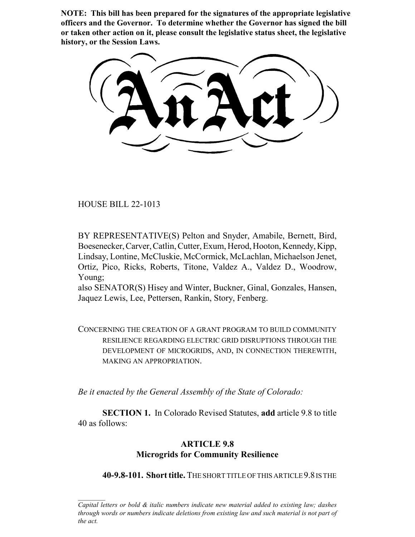**NOTE: This bill has been prepared for the signatures of the appropriate legislative officers and the Governor. To determine whether the Governor has signed the bill or taken other action on it, please consult the legislative status sheet, the legislative history, or the Session Laws.**

HOUSE BILL 22-1013

BY REPRESENTATIVE(S) Pelton and Snyder, Amabile, Bernett, Bird, Boesenecker, Carver, Catlin, Cutter, Exum, Herod, Hooton, Kennedy, Kipp, Lindsay, Lontine, McCluskie, McCormick, McLachlan, Michaelson Jenet, Ortiz, Pico, Ricks, Roberts, Titone, Valdez A., Valdez D., Woodrow, Young;

also SENATOR(S) Hisey and Winter, Buckner, Ginal, Gonzales, Hansen, Jaquez Lewis, Lee, Pettersen, Rankin, Story, Fenberg.

CONCERNING THE CREATION OF A GRANT PROGRAM TO BUILD COMMUNITY RESILIENCE REGARDING ELECTRIC GRID DISRUPTIONS THROUGH THE DEVELOPMENT OF MICROGRIDS, AND, IN CONNECTION THEREWITH, MAKING AN APPROPRIATION.

*Be it enacted by the General Assembly of the State of Colorado:*

**SECTION 1.** In Colorado Revised Statutes, **add** article 9.8 to title 40 as follows:

## **ARTICLE 9.8 Microgrids for Community Resilience**

**40-9.8-101. Short title.** THE SHORT TITLE OF THIS ARTICLE 9.8 IS THE

*Capital letters or bold & italic numbers indicate new material added to existing law; dashes through words or numbers indicate deletions from existing law and such material is not part of the act.*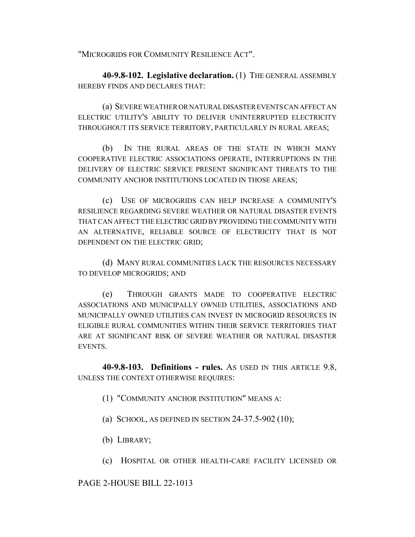"MICROGRIDS FOR COMMUNITY RESILIENCE ACT".

**40-9.8-102. Legislative declaration.** (1) THE GENERAL ASSEMBLY HEREBY FINDS AND DECLARES THAT:

(a) SEVERE WEATHER OR NATURAL DISASTER EVENTS CAN AFFECT AN ELECTRIC UTILITY'S ABILITY TO DELIVER UNINTERRUPTED ELECTRICITY THROUGHOUT ITS SERVICE TERRITORY, PARTICULARLY IN RURAL AREAS;

(b) IN THE RURAL AREAS OF THE STATE IN WHICH MANY COOPERATIVE ELECTRIC ASSOCIATIONS OPERATE, INTERRUPTIONS IN THE DELIVERY OF ELECTRIC SERVICE PRESENT SIGNIFICANT THREATS TO THE COMMUNITY ANCHOR INSTITUTIONS LOCATED IN THOSE AREAS;

(c) USE OF MICROGRIDS CAN HELP INCREASE A COMMUNITY'S RESILIENCE REGARDING SEVERE WEATHER OR NATURAL DISASTER EVENTS THAT CAN AFFECT THE ELECTRIC GRID BY PROVIDING THE COMMUNITY WITH AN ALTERNATIVE, RELIABLE SOURCE OF ELECTRICITY THAT IS NOT DEPENDENT ON THE ELECTRIC GRID;

(d) MANY RURAL COMMUNITIES LACK THE RESOURCES NECESSARY TO DEVELOP MICROGRIDS; AND

(e) THROUGH GRANTS MADE TO COOPERATIVE ELECTRIC ASSOCIATIONS AND MUNICIPALLY OWNED UTILITIES, ASSOCIATIONS AND MUNICIPALLY OWNED UTILITIES CAN INVEST IN MICROGRID RESOURCES IN ELIGIBLE RURAL COMMUNITIES WITHIN THEIR SERVICE TERRITORIES THAT ARE AT SIGNIFICANT RISK OF SEVERE WEATHER OR NATURAL DISASTER EVENTS.

**40-9.8-103. Definitions - rules.** AS USED IN THIS ARTICLE 9.8, UNLESS THE CONTEXT OTHERWISE REQUIRES:

- (1) "COMMUNITY ANCHOR INSTITUTION" MEANS A:
- (a) SCHOOL, AS DEFINED IN SECTION 24-37.5-902 (10);
- (b) LIBRARY;
- (c) HOSPITAL OR OTHER HEALTH-CARE FACILITY LICENSED OR

PAGE 2-HOUSE BILL 22-1013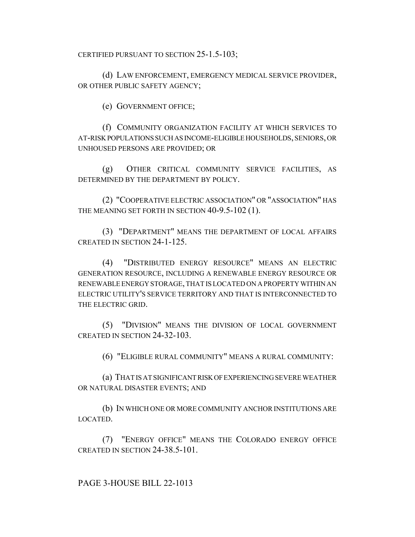CERTIFIED PURSUANT TO SECTION 25-1.5-103;

(d) LAW ENFORCEMENT, EMERGENCY MEDICAL SERVICE PROVIDER, OR OTHER PUBLIC SAFETY AGENCY;

(e) GOVERNMENT OFFICE;

(f) COMMUNITY ORGANIZATION FACILITY AT WHICH SERVICES TO AT-RISK POPULATIONS SUCH AS INCOME-ELIGIBLE HOUSEHOLDS, SENIORS, OR UNHOUSED PERSONS ARE PROVIDED; OR

(g) OTHER CRITICAL COMMUNITY SERVICE FACILITIES, AS DETERMINED BY THE DEPARTMENT BY POLICY.

(2) "COOPERATIVE ELECTRIC ASSOCIATION" OR "ASSOCIATION" HAS THE MEANING SET FORTH IN SECTION 40-9.5-102 (1).

(3) "DEPARTMENT" MEANS THE DEPARTMENT OF LOCAL AFFAIRS CREATED IN SECTION 24-1-125.

(4) "DISTRIBUTED ENERGY RESOURCE" MEANS AN ELECTRIC GENERATION RESOURCE, INCLUDING A RENEWABLE ENERGY RESOURCE OR RENEWABLE ENERGY STORAGE, THAT IS LOCATED ON A PROPERTY WITHIN AN ELECTRIC UTILITY'S SERVICE TERRITORY AND THAT IS INTERCONNECTED TO THE ELECTRIC GRID.

(5) "DIVISION" MEANS THE DIVISION OF LOCAL GOVERNMENT CREATED IN SECTION 24-32-103.

(6) "ELIGIBLE RURAL COMMUNITY" MEANS A RURAL COMMUNITY:

(a) THAT IS AT SIGNIFICANT RISK OF EXPERIENCING SEVERE WEATHER OR NATURAL DISASTER EVENTS; AND

(b) IN WHICH ONE OR MORE COMMUNITY ANCHOR INSTITUTIONS ARE LOCATED.

(7) "ENERGY OFFICE" MEANS THE COLORADO ENERGY OFFICE CREATED IN SECTION 24-38.5-101.

PAGE 3-HOUSE BILL 22-1013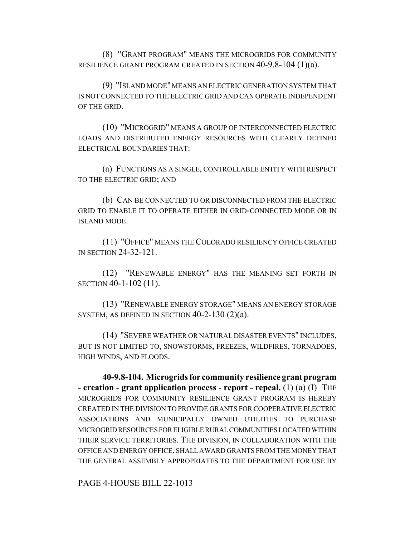(8) "GRANT PROGRAM" MEANS THE MICROGRIDS FOR COMMUNITY RESILIENCE GRANT PROGRAM CREATED IN SECTION 40-9.8-104 (1)(a).

(9) "ISLAND MODE" MEANS AN ELECTRIC GENERATION SYSTEM THAT IS NOT CONNECTED TO THE ELECTRIC GRID AND CAN OPERATE INDEPENDENT OF THE GRID.

(10) "MICROGRID" MEANS A GROUP OF INTERCONNECTED ELECTRIC LOADS AND DISTRIBUTED ENERGY RESOURCES WITH CLEARLY DEFINED ELECTRICAL BOUNDARIES THAT:

(a) FUNCTIONS AS A SINGLE, CONTROLLABLE ENTITY WITH RESPECT TO THE ELECTRIC GRID; AND

(b) CAN BE CONNECTED TO OR DISCONNECTED FROM THE ELECTRIC GRID TO ENABLE IT TO OPERATE EITHER IN GRID-CONNECTED MODE OR IN ISLAND MODE.

(11) "OFFICE" MEANS THE COLORADO RESILIENCY OFFICE CREATED IN SECTION 24-32-121.

(12) "RENEWABLE ENERGY" HAS THE MEANING SET FORTH IN SECTION 40-1-102 (11).

(13) "RENEWABLE ENERGY STORAGE" MEANS AN ENERGY STORAGE SYSTEM, AS DEFINED IN SECTION 40-2-130 (2)(a).

(14) "SEVERE WEATHER OR NATURAL DISASTER EVENTS" INCLUDES, BUT IS NOT LIMITED TO, SNOWSTORMS, FREEZES, WILDFIRES, TORNADOES, HIGH WINDS, AND FLOODS.

**40-9.8-104. Microgrids for community resilience grant program - creation - grant application process - report - repeal.** (1) (a) (I) THE MICROGRIDS FOR COMMUNITY RESILIENCE GRANT PROGRAM IS HEREBY CREATED IN THE DIVISION TO PROVIDE GRANTS FOR COOPERATIVE ELECTRIC ASSOCIATIONS AND MUNICIPALLY OWNED UTILITIES TO PURCHASE MICROGRID RESOURCES FOR ELIGIBLE RURAL COMMUNITIES LOCATED WITHIN THEIR SERVICE TERRITORIES. THE DIVISION, IN COLLABORATION WITH THE OFFICE AND ENERGY OFFICE, SHALL AWARD GRANTS FROM THE MONEY THAT THE GENERAL ASSEMBLY APPROPRIATES TO THE DEPARTMENT FOR USE BY

PAGE 4-HOUSE BILL 22-1013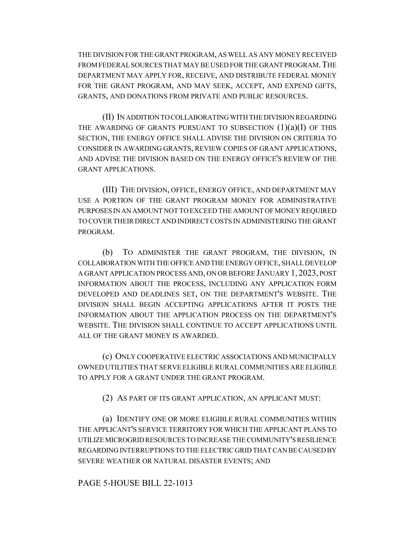THE DIVISION FOR THE GRANT PROGRAM, AS WELL AS ANY MONEY RECEIVED FROM FEDERAL SOURCES THAT MAY BE USED FOR THE GRANT PROGRAM.THE DEPARTMENT MAY APPLY FOR, RECEIVE, AND DISTRIBUTE FEDERAL MONEY FOR THE GRANT PROGRAM, AND MAY SEEK, ACCEPT, AND EXPEND GIFTS, GRANTS, AND DONATIONS FROM PRIVATE AND PUBLIC RESOURCES.

(II) IN ADDITION TO COLLABORATING WITH THE DIVISION REGARDING THE AWARDING OF GRANTS PURSUANT TO SUBSECTION  $(1)(a)(I)$  OF THIS SECTION, THE ENERGY OFFICE SHALL ADVISE THE DIVISION ON CRITERIA TO CONSIDER IN AWARDING GRANTS, REVIEW COPIES OF GRANT APPLICATIONS, AND ADVISE THE DIVISION BASED ON THE ENERGY OFFICE'S REVIEW OF THE GRANT APPLICATIONS.

(III) THE DIVISION, OFFICE, ENERGY OFFICE, AND DEPARTMENT MAY USE A PORTION OF THE GRANT PROGRAM MONEY FOR ADMINISTRATIVE PURPOSES IN AN AMOUNT NOT TO EXCEED THE AMOUNT OF MONEY REQUIRED TO COVER THEIR DIRECT AND INDIRECT COSTS IN ADMINISTERING THE GRANT PROGRAM.

(b) TO ADMINISTER THE GRANT PROGRAM, THE DIVISION, IN COLLABORATION WITH THE OFFICE AND THE ENERGY OFFICE, SHALL DEVELOP A GRANT APPLICATION PROCESS AND, ON OR BEFORE JANUARY 1, 2023, POST INFORMATION ABOUT THE PROCESS, INCLUDING ANY APPLICATION FORM DEVELOPED AND DEADLINES SET, ON THE DEPARTMENT'S WEBSITE. THE DIVISION SHALL BEGIN ACCEPTING APPLICATIONS AFTER IT POSTS THE INFORMATION ABOUT THE APPLICATION PROCESS ON THE DEPARTMENT'S WEBSITE. THE DIVISION SHALL CONTINUE TO ACCEPT APPLICATIONS UNTIL ALL OF THE GRANT MONEY IS AWARDED.

(c) ONLY COOPERATIVE ELECTRIC ASSOCIATIONS AND MUNICIPALLY OWNED UTILITIES THAT SERVE ELIGIBLE RURAL COMMUNITIES ARE ELIGIBLE TO APPLY FOR A GRANT UNDER THE GRANT PROGRAM.

(2) AS PART OF ITS GRANT APPLICATION, AN APPLICANT MUST:

(a) IDENTIFY ONE OR MORE ELIGIBLE RURAL COMMUNITIES WITHIN THE APPLICANT'S SERVICE TERRITORY FOR WHICH THE APPLICANT PLANS TO UTILIZE MICROGRID RESOURCES TO INCREASE THE COMMUNITY'S RESILIENCE REGARDING INTERRUPTIONS TO THE ELECTRIC GRID THAT CAN BE CAUSED BY SEVERE WEATHER OR NATURAL DISASTER EVENTS; AND

PAGE 5-HOUSE BILL 22-1013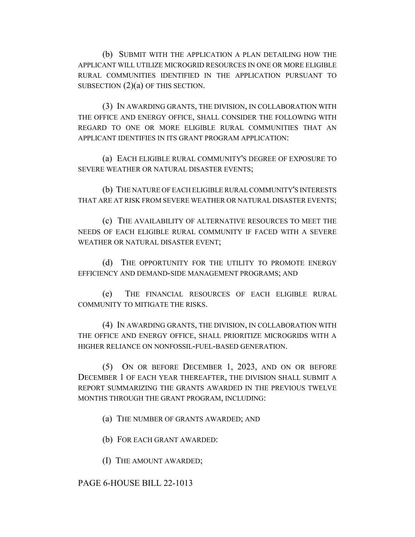(b) SUBMIT WITH THE APPLICATION A PLAN DETAILING HOW THE APPLICANT WILL UTILIZE MICROGRID RESOURCES IN ONE OR MORE ELIGIBLE RURAL COMMUNITIES IDENTIFIED IN THE APPLICATION PURSUANT TO SUBSECTION  $(2)(a)$  OF THIS SECTION.

(3) IN AWARDING GRANTS, THE DIVISION, IN COLLABORATION WITH THE OFFICE AND ENERGY OFFICE, SHALL CONSIDER THE FOLLOWING WITH REGARD TO ONE OR MORE ELIGIBLE RURAL COMMUNITIES THAT AN APPLICANT IDENTIFIES IN ITS GRANT PROGRAM APPLICATION:

(a) EACH ELIGIBLE RURAL COMMUNITY'S DEGREE OF EXPOSURE TO SEVERE WEATHER OR NATURAL DISASTER EVENTS;

(b) THE NATURE OF EACH ELIGIBLE RURAL COMMUNITY'S INTERESTS THAT ARE AT RISK FROM SEVERE WEATHER OR NATURAL DISASTER EVENTS;

(c) THE AVAILABILITY OF ALTERNATIVE RESOURCES TO MEET THE NEEDS OF EACH ELIGIBLE RURAL COMMUNITY IF FACED WITH A SEVERE WEATHER OR NATURAL DISASTER EVENT;

(d) THE OPPORTUNITY FOR THE UTILITY TO PROMOTE ENERGY EFFICIENCY AND DEMAND-SIDE MANAGEMENT PROGRAMS; AND

(e) THE FINANCIAL RESOURCES OF EACH ELIGIBLE RURAL COMMUNITY TO MITIGATE THE RISKS.

(4) IN AWARDING GRANTS, THE DIVISION, IN COLLABORATION WITH THE OFFICE AND ENERGY OFFICE, SHALL PRIORITIZE MICROGRIDS WITH A HIGHER RELIANCE ON NONFOSSIL-FUEL-BASED GENERATION.

(5) ON OR BEFORE DECEMBER 1, 2023, AND ON OR BEFORE DECEMBER 1 OF EACH YEAR THEREAFTER, THE DIVISION SHALL SUBMIT A REPORT SUMMARIZING THE GRANTS AWARDED IN THE PREVIOUS TWELVE MONTHS THROUGH THE GRANT PROGRAM, INCLUDING:

(a) THE NUMBER OF GRANTS AWARDED; AND

(b) FOR EACH GRANT AWARDED:

(I) THE AMOUNT AWARDED;

## PAGE 6-HOUSE BILL 22-1013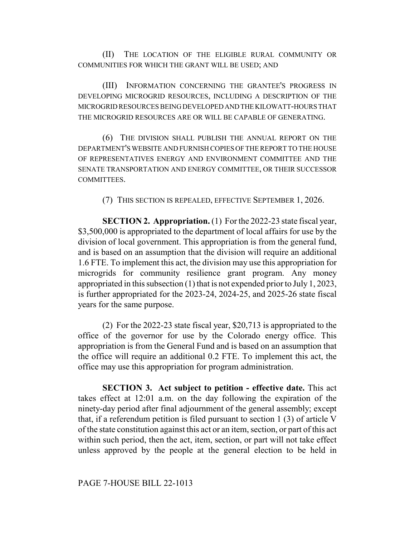(II) THE LOCATION OF THE ELIGIBLE RURAL COMMUNITY OR COMMUNITIES FOR WHICH THE GRANT WILL BE USED; AND

(III) INFORMATION CONCERNING THE GRANTEE'S PROGRESS IN DEVELOPING MICROGRID RESOURCES, INCLUDING A DESCRIPTION OF THE MICROGRID RESOURCES BEING DEVELOPED AND THE KILOWATT-HOURS THAT THE MICROGRID RESOURCES ARE OR WILL BE CAPABLE OF GENERATING.

(6) THE DIVISION SHALL PUBLISH THE ANNUAL REPORT ON THE DEPARTMENT'S WEBSITE AND FURNISH COPIES OF THE REPORT TO THE HOUSE OF REPRESENTATIVES ENERGY AND ENVIRONMENT COMMITTEE AND THE SENATE TRANSPORTATION AND ENERGY COMMITTEE, OR THEIR SUCCESSOR COMMITTEES.

(7) THIS SECTION IS REPEALED, EFFECTIVE SEPTEMBER 1, 2026.

**SECTION 2. Appropriation.** (1) For the 2022-23 state fiscal year, \$3,500,000 is appropriated to the department of local affairs for use by the division of local government. This appropriation is from the general fund, and is based on an assumption that the division will require an additional 1.6 FTE. To implement this act, the division may use this appropriation for microgrids for community resilience grant program. Any money appropriated in this subsection (1) that is not expended prior to July 1, 2023, is further appropriated for the 2023-24, 2024-25, and 2025-26 state fiscal years for the same purpose.

(2) For the 2022-23 state fiscal year, \$20,713 is appropriated to the office of the governor for use by the Colorado energy office. This appropriation is from the General Fund and is based on an assumption that the office will require an additional 0.2 FTE. To implement this act, the office may use this appropriation for program administration.

**SECTION 3. Act subject to petition - effective date.** This act takes effect at 12:01 a.m. on the day following the expiration of the ninety-day period after final adjournment of the general assembly; except that, if a referendum petition is filed pursuant to section 1 (3) of article V of the state constitution against this act or an item, section, or part of this act within such period, then the act, item, section, or part will not take effect unless approved by the people at the general election to be held in